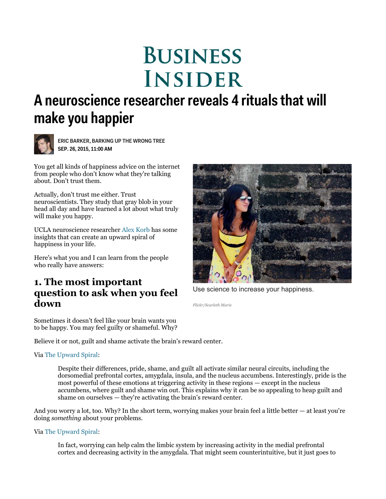# **BUSINESS INSIDER**

## A neuroscience researcher reveals 4 rituals that will make you happier



ERIC BARKER, BARKING UP THE WRONG TREE SEP. 26, 2015, 11:00 AM

You get all kinds of happiness advice on the internet from people who don't know what they're talking about. Don't trust them.

Actually, don't trust me either. Trust neuroscientists. They study that gray blob in your head all day and have learned a lot about what truly will make you happy.

UCLA neuroscience researcher Alex Korb has some insights that can create an upward spiral of happiness in your life.

Here's what you and I can learn from the people who really have answers:

## **1. The most important question to ask when you feel down**

Sometimes it doesn't feel like your brain wants you



Use science to increase your happiness.

*Flickr/Scarleth Marie*

to be happy. You may feel guilty or shameful. Why?

Believe it or not, guilt and shame activate the brain's reward center.

### Via The Upward Spiral:

Despite their differences, pride, shame, and guilt all activate similar neural circuits, including the dorsomedial prefrontal cortex, amygdala, insula, and the nucleus accumbens. Interestingly, pride is the most powerful of these emotions at triggering activity in these regions — except in the nucleus accumbens, where guilt and shame win out. This explains why it can be so appealing to heap guilt and shame on ourselves — they're activating the brain's reward center.

And you worry a lot, too. Why? In the short term, worrying makes your brain feel a little better — at least you're doing *something* about your problems.

#### Via The Upward Spiral:

In fact, worrying can help calm the limbic system by increasing activity in the medial prefrontal cortex and decreasing activity in the amygdala. That might seem counterintuitive, but it just goes to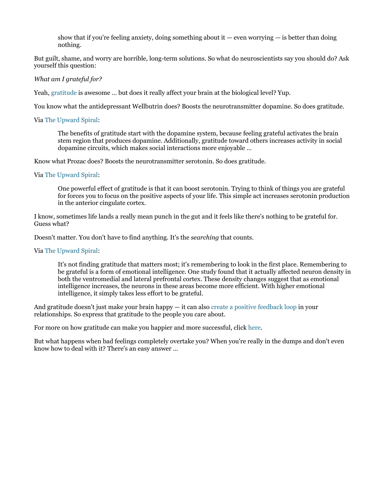show that if you're feeling anxiety, doing something about it  $-$  even worrying  $-$  is better than doing nothing.

But guilt, shame, and worry are horrible, long-term solutions. So what do neuroscientists say you should do? Ask yourself this question:

#### *What am I grateful for?*

Yeah, gratitude is awesome … but does it really affect your brain at the biological level? Yup.

You know what the antidepressant Wellbutrin does? Boosts the neurotransmitter dopamine. So does gratitude.

#### Via The Upward Spiral:

The benefits of gratitude start with the dopamine system, because feeling grateful activates the brain stem region that produces dopamine. Additionally, gratitude toward others increases activity in social dopamine circuits, which makes social interactions more enjoyable …

Know what Prozac does? Boosts the neurotransmitter serotonin. So does gratitude.

#### Via The Upward Spiral:

One powerful effect of gratitude is that it can boost serotonin. Trying to think of things you are grateful for forces you to focus on the positive aspects of your life. This simple act increases serotonin production in the anterior cingulate cortex.

I know, sometimes life lands a really mean punch in the gut and it feels like there's nothing to be grateful for. Guess what?

Doesn't matter. You don't have to find anything. It's the *searching* that counts.

#### Via The Upward Spiral:

It's not finding gratitude that matters most; it's remembering to look in the first place. Remembering to be grateful is a form of emotional intelligence. One study found that it actually affected neuron density in both the ventromedial and lateral prefrontal cortex. These density changes suggest that as emotional intelligence increases, the neurons in these areas become more efficient. With higher emotional intelligence, it simply takes less effort to be grateful.

And gratitude doesn't just make your brain happy — it can also create a positive feedback loop in your relationships. So express that gratitude to the people you care about.

For more on how gratitude can make you happier and more successful, click here.

But what happens when bad feelings completely overtake you? When you're really in the dumps and don't even know how to deal with it? There's an easy answer …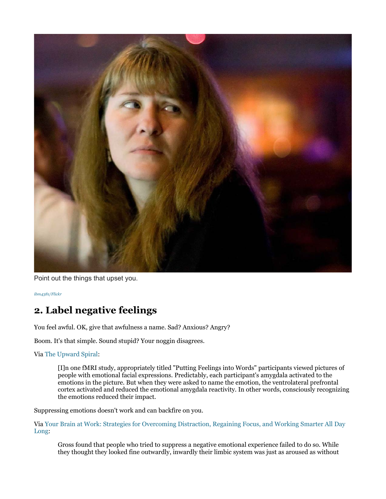

Point out the things that upset you.

*ibm4381/Flickr*

## **2. Label negative feelings**

You feel awful. OK, give that awfulness a name. Sad? Anxious? Angry?

Boom. It's that simple. Sound stupid? Your noggin disagrees.

Via The Upward Spiral:

[I]n one fMRI study, appropriately titled "Putting Feelings into Words" participants viewed pictures of people with emotional facial expressions. Predictably, each participant's amygdala activated to the emotions in the picture. But when they were asked to name the emotion, the ventrolateral prefrontal cortex activated and reduced the emotional amygdala reactivity. In other words, consciously recognizing the emotions reduced their impact.

Suppressing emotions doesn't work and can backfire on you.

Via Your Brain at Work: Strategies for Overcoming Distraction, Regaining Focus, and Working Smarter All Day Long:

Gross found that people who tried to suppress a negative emotional experience failed to do so. While they thought they looked fine outwardly, inwardly their limbic system was just as aroused as without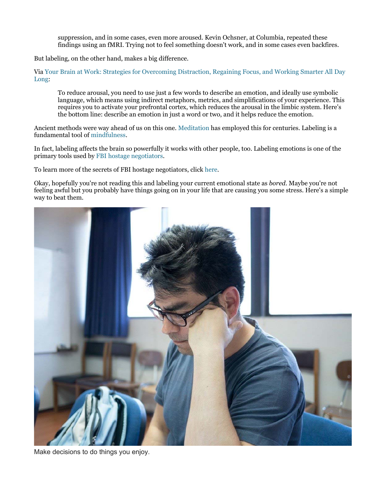suppression, and in some cases, even more aroused. Kevin Ochsner, at Columbia, repeated these findings using an fMRI. Trying not to feel something doesn't work, and in some cases even backfires.

But labeling, on the other hand, makes a big difference.

Via Your Brain at Work: Strategies for Overcoming Distraction, Regaining Focus, and Working Smarter All Day Long:

To reduce arousal, you need to use just a few words to describe an emotion, and ideally use symbolic language, which means using indirect metaphors, metrics, and simplifications of your experience. This requires you to activate your prefrontal cortex, which reduces the arousal in the limbic system. Here's the bottom line: describe an emotion in just a word or two, and it helps reduce the emotion.

Ancient methods were way ahead of us on this one. Meditation has employed this for centuries. Labeling is a fundamental tool of mindfulness.

In fact, labeling affects the brain so powerfully it works with other people, too. Labeling emotions is one of the primary tools used by FBI hostage negotiators.

To learn more of the secrets of FBI hostage negotiators, click here.

Okay, hopefully you're not reading this and labeling your current emotional state as *bored*. Maybe you're not feeling awful but you probably have things going on in your life that are causing you some stress. Here's a simple way to beat them.



Make decisions to do things you enjoy.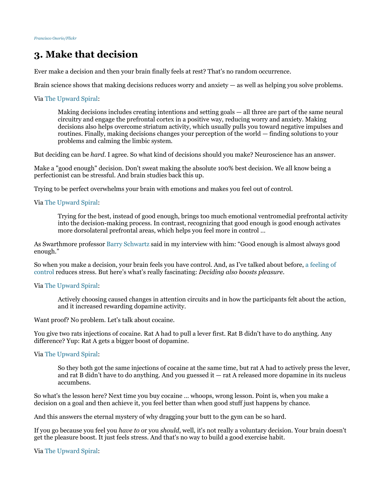## **3. Make that decision**

Ever make a decision and then your brain finally feels at rest? That's no random occurrence.

Brain science shows that making decisions reduces worry and anxiety — as well as helping you solve problems.

#### Via The Upward Spiral:

Making decisions includes creating intentions and setting goals — all three are part of the same neural circuitry and engage the prefrontal cortex in a positive way, reducing worry and anxiety. Making decisions also helps overcome striatum activity, which usually pulls you toward negative impulses and routines. Finally, making decisions changes your perception of the world — finding solutions to your problems and calming the limbic system.

But deciding can be *hard*. I agree. So what kind of decisions should you make? Neuroscience has an answer.

Make a "good enough" decision. Don't sweat making the absolute 100% best decision. We all know being a perfectionist can be stressful. And brain studies back this up.

Trying to be perfect overwhelms your brain with emotions and makes you feel out of control.

#### Via The Upward Spiral:

Trying for the best, instead of good enough, brings too much emotional ventromedial prefrontal activity into the decision-making process. In contrast, recognizing that good enough is good enough activates more dorsolateral prefrontal areas, which helps you feel more in control …

As Swarthmore professor Barry Schwartz said in my interview with him: "Good enough is almost always good enough."

So when you make a decision, your brain feels you have control. And, as I've talked about before, a feeling of control reduces stress. But here's what's really fascinating: *Deciding also boosts pleasure.*

#### Via The Upward Spiral:

Actively choosing caused changes in attention circuits and in how the participants felt about the action, and it increased rewarding dopamine activity.

Want proof? No problem. Let's talk about cocaine.

You give two rats injections of cocaine. Rat A had to pull a lever first. Rat B didn't have to do anything. Any difference? Yup: Rat A gets a bigger boost of dopamine.

#### Via The Upward Spiral:

So they both got the same injections of cocaine at the same time, but rat A had to actively press the lever, and rat B didn't have to do anything. And you guessed it — rat A released more dopamine in its nucleus accumbens.

So what's the lesson here? Next time you buy cocaine … whoops, wrong lesson. Point is, when you make a decision on a goal and then achieve it, you feel better than when good stuff just happens by chance.

And this answers the eternal mystery of why dragging your butt to the gym can be so hard.

If you go because you feel you *have to* or you *should*, well, it's not really a voluntary decision. Your brain doesn't get the pleasure boost. It just feels stress. And that's no way to build a good exercise habit.

#### Via The Upward Spiral: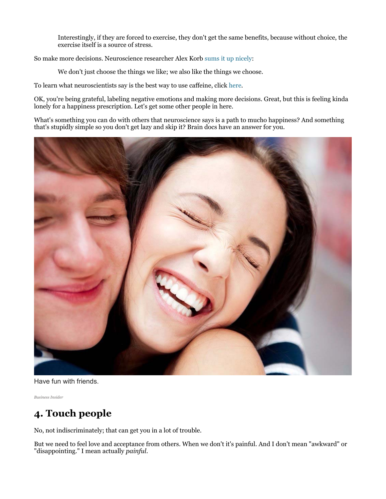Interestingly, if they are forced to exercise, they don't get the same benefits, because without choice, the exercise itself is a source of stress.

So make more decisions. Neuroscience researcher Alex Korb sums it up nicely:

We don't just choose the things we like; we also like the things we choose.

To learn what neuroscientists say is the best way to use caffeine, click here.

OK, you're being grateful, labeling negative emotions and making more decisions. Great, but this is feeling kinda lonely for a happiness prescription. Let's get some other people in here.

What's something you can do with others that neuroscience says is a path to mucho happiness? And something that's stupidly simple so you don't get lazy and skip it? Brain docs have an answer for you.



Have fun with friends.

*Business Insider*

## **4. Touch people**

No, not indiscriminately; that can get you in a lot of trouble.

But we need to feel love and acceptance from others. When we don't it's painful. And I don't mean "awkward" or "disappointing." I mean actually *painful*.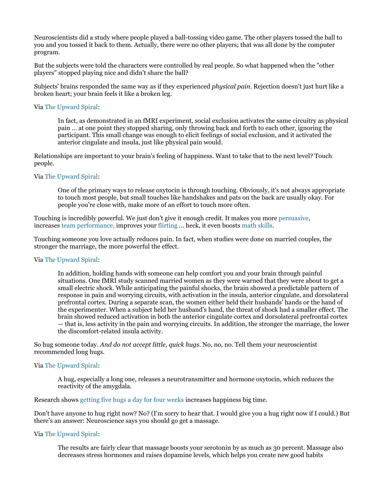Neuroscientists did a study where people played a ball-tossing video game. The other players tossed the ball to you and you tossed it back to them. Actually, there were no other players; that was all done by the computer program.

But the subjects were told the characters were controlled by real people. So what happened when the "other players" stopped playing nice and didn't share the ball?

Subjects' brains responded the same way as if they experienced *physical pain*. Rejection doesn't just hurt like a broken heart; your brain feels it like a broken leg.

#### Via The Upward Spiral:

In fact, as demonstrated in an fMRI experiment, social exclusion activates the same circuitry as physical pain … at one point they stopped sharing, only throwing back and forth to each other, ignoring the participant. This small change was enough to elicit feelings of social exclusion, and it activated the anterior cingulate and insula, just like physical pain would.

Relationships are important to your brain's feeling of happiness. Want to take that to the next level? Touch people.

#### Via The Upward Spiral:

One of the primary ways to release oxytocin is through touching. Obviously, it's not always appropriate to touch most people, but small touches like handshakes and pats on the back are usually okay. For people you're close with, make more of an effort to touch more often.

Touching is incredibly powerful. We just don't give it enough credit. It makes you more persuasive, increases team performance, improves your flirting … heck, it even boosts math skills.

Touching someone you love actually reduces pain. In fact, when studies were done on married couples, the stronger the marriage, the more powerful the effect.

#### Via The Upward Spiral:

In addition, holding hands with someone can help comfort you and your brain through painful situations. One fMRI study scanned married women as they were warned that they were about to get a small electric shock. While anticipating the painful shocks, the brain showed a predictable pattern of response in pain and worrying circuits, with activation in the insula, anterior cingulate, and dorsolateral prefrontal cortex. During a separate scan, the women either held their husbands' hands or the hand of the experimenter. When a subject held her husband's hand, the threat of shock had a smaller effect. The brain showed reduced activation in both the anterior cingulate cortex and dorsolateral prefrontal cortex — that is, less activity in the pain and worrying circuits. In addition, the stronger the marriage, the lower the discomfort-related insula activity.

So hug someone today. *And do not accept little, quick hugs.* No, no, no. Tell them your neuroscientist recommended long hugs.

#### Via The Upward Spiral:

A hug, especially a long one, releases a neurotransmitter and hormone oxytocin, which reduces the reactivity of the amygdala.

Research shows getting five hugs a day for four weeks increases happiness big time.

Don't have anyone to hug right now? No? (I'm sorry to hear that. I would give you a hug right now if I could.) But there's an answer: Neuroscience says you should go get a massage.

#### Via The Upward Spiral:

The results are fairly clear that massage boosts your serotonin by as much as 30 percent. Massage also decreases stress hormones and raises dopamine levels, which helps you create new good habits